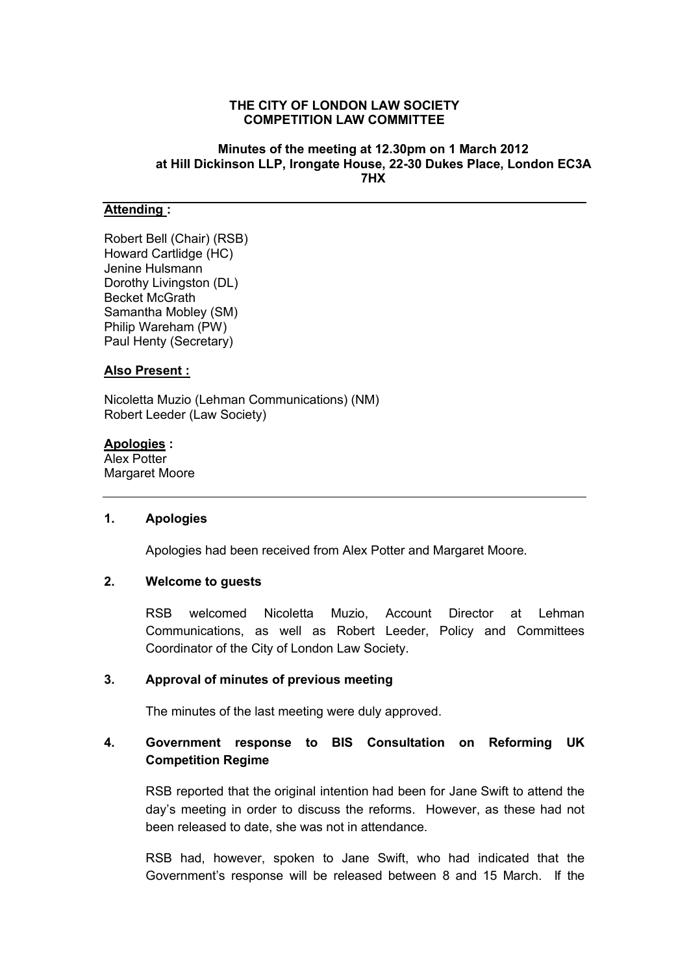#### **THE CITY OF LONDON LAW SOCIETY COMPETITION LAW COMMITTEE**

### **Minutes of the meeting at 12.30pm on 1 March 2012 at Hill Dickinson LLP, Irongate House, 22-30 Dukes Place, London EC3A 7HX**

## **Attending :**

Robert Bell (Chair) (RSB) Howard Cartlidge (HC) Jenine Hulsmann Dorothy Livingston (DL) Becket McGrath Samantha Mobley (SM) Philip Wareham (PW) Paul Henty (Secretary)

### **Also Present :**

Nicoletta Muzio (Lehman Communications) (NM) Robert Leeder (Law Society)

#### **Apologies :**

Alex Potter Margaret Moore

## **1. Apologies**

Apologies had been received from Alex Potter and Margaret Moore.

# **2. Welcome to guests**

RSB welcomed Nicoletta Muzio, Account Director at Lehman Communications, as well as Robert Leeder, Policy and Committees Coordinator of the City of London Law Society.

## **3. Approval of minutes of previous meeting**

The minutes of the last meeting were duly approved.

# **4. Government response to BIS Consultation on Reforming UK Competition Regime**

RSB reported that the original intention had been for Jane Swift to attend the day's meeting in order to discuss the reforms. However, as these had not been released to date, she was not in attendance.

RSB had, however, spoken to Jane Swift, who had indicated that the Government's response will be released between 8 and 15 March. If the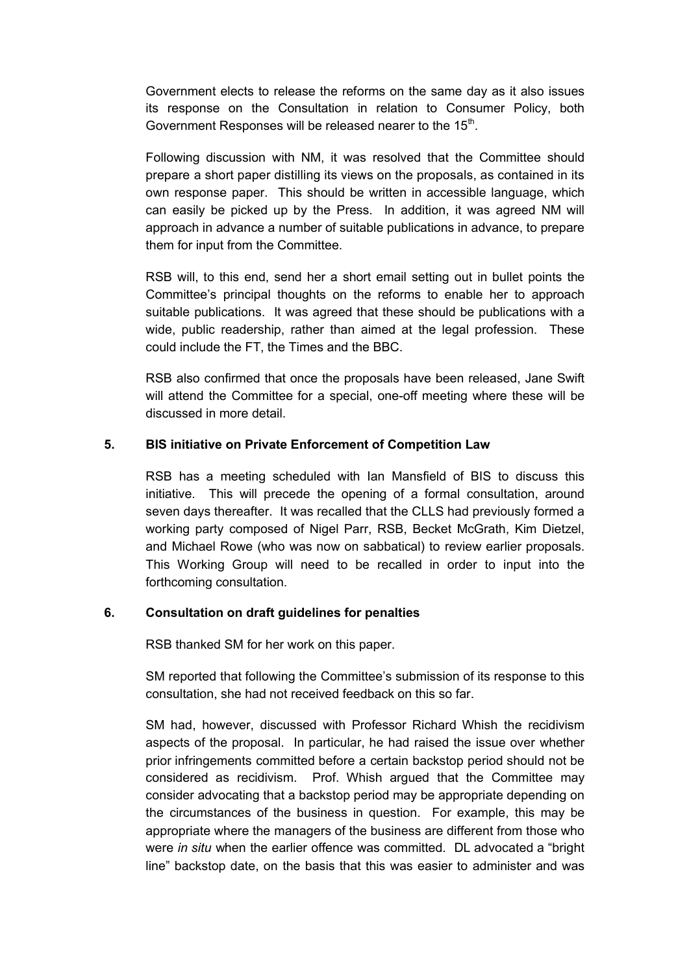Government elects to release the reforms on the same day as it also issues its response on the Consultation in relation to Consumer Policy, both Government Responses will be released nearer to the 15<sup>th</sup>.

Following discussion with NM, it was resolved that the Committee should prepare a short paper distilling its views on the proposals, as contained in its own response paper. This should be written in accessible language, which can easily be picked up by the Press. In addition, it was agreed NM will approach in advance a number of suitable publications in advance, to prepare them for input from the Committee.

RSB will, to this end, send her a short email setting out in bullet points the Committee's principal thoughts on the reforms to enable her to approach suitable publications. It was agreed that these should be publications with a wide, public readership, rather than aimed at the legal profession. These could include the FT, the Times and the BBC.

RSB also confirmed that once the proposals have been released, Jane Swift will attend the Committee for a special, one-off meeting where these will be discussed in more detail.

## **5. BIS initiative on Private Enforcement of Competition Law**

RSB has a meeting scheduled with Ian Mansfield of BIS to discuss this initiative. This will precede the opening of a formal consultation, around seven days thereafter. It was recalled that the CLLS had previously formed a working party composed of Nigel Parr, RSB, Becket McGrath, Kim Dietzel, and Michael Rowe (who was now on sabbatical) to review earlier proposals. This Working Group will need to be recalled in order to input into the forthcoming consultation.

## **6. Consultation on draft guidelines for penalties**

RSB thanked SM for her work on this paper.

SM reported that following the Committee's submission of its response to this consultation, she had not received feedback on this so far.

SM had, however, discussed with Professor Richard Whish the recidivism aspects of the proposal. In particular, he had raised the issue over whether prior infringements committed before a certain backstop period should not be considered as recidivism. Prof. Whish argued that the Committee may consider advocating that a backstop period may be appropriate depending on the circumstances of the business in question. For example, this may be appropriate where the managers of the business are different from those who were *in situ* when the earlier offence was committed. DL advocated a "bright line" backstop date, on the basis that this was easier to administer and was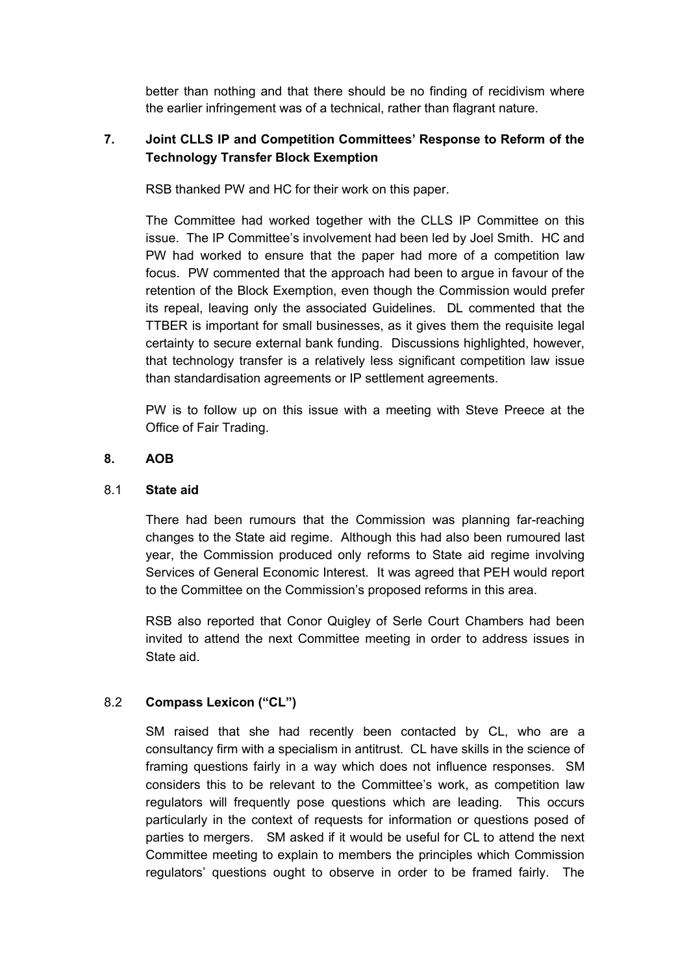better than nothing and that there should be no finding of recidivism where the earlier infringement was of a technical, rather than flagrant nature.

# **7. Joint CLLS IP and Competition Committees' Response to Reform of the Technology Transfer Block Exemption**

RSB thanked PW and HC for their work on this paper.

The Committee had worked together with the CLLS IP Committee on this issue. The IP Committee's involvement had been led by Joel Smith. HC and PW had worked to ensure that the paper had more of a competition law focus. PW commented that the approach had been to argue in favour of the retention of the Block Exemption, even though the Commission would prefer its repeal, leaving only the associated Guidelines. DL commented that the TTBER is important for small businesses, as it gives them the requisite legal certainty to secure external bank funding. Discussions highlighted, however, that technology transfer is a relatively less significant competition law issue than standardisation agreements or IP settlement agreements.

PW is to follow up on this issue with a meeting with Steve Preece at the Office of Fair Trading.

# **8. AOB**

## 8.1 **State aid**

There had been rumours that the Commission was planning far-reaching changes to the State aid regime. Although this had also been rumoured last year, the Commission produced only reforms to State aid regime involving Services of General Economic Interest. It was agreed that PEH would report to the Committee on the Commission's proposed reforms in this area.

RSB also reported that Conor Quigley of Serle Court Chambers had been invited to attend the next Committee meeting in order to address issues in State aid.

# 8.2 **Compass Lexicon ("CL")**

SM raised that she had recently been contacted by CL, who are a consultancy firm with a specialism in antitrust. CL have skills in the science of framing questions fairly in a way which does not influence responses. SM considers this to be relevant to the Committee's work, as competition law regulators will frequently pose questions which are leading. This occurs particularly in the context of requests for information or questions posed of parties to mergers. SM asked if it would be useful for CL to attend the next Committee meeting to explain to members the principles which Commission regulators' questions ought to observe in order to be framed fairly. The